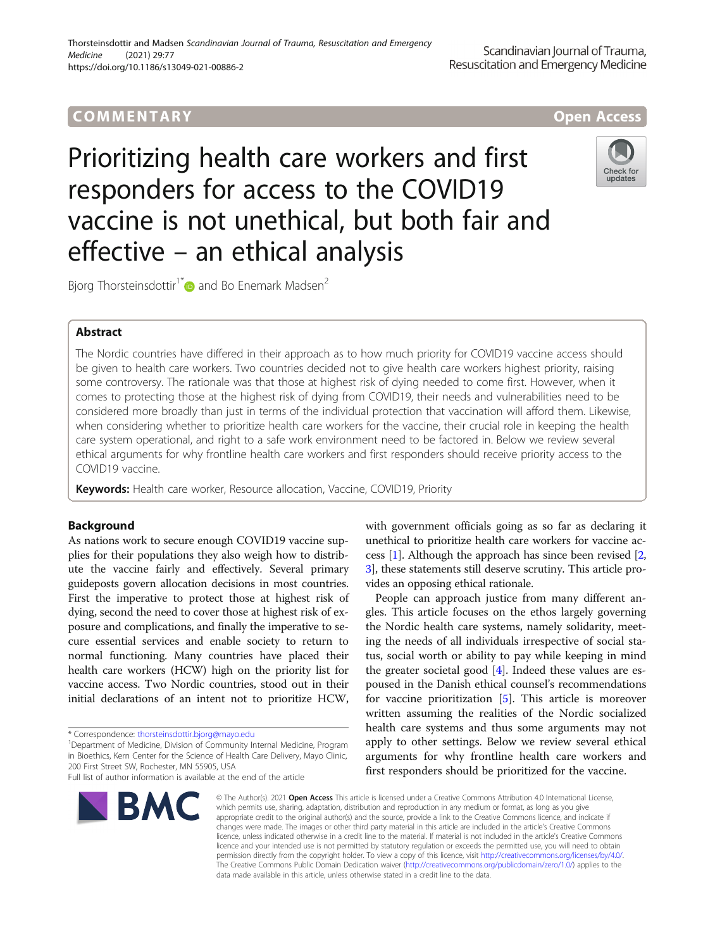# COMM EN TARY Open Access

Prioritizing health care workers and first responders for access to the COVID19 vaccine is not unethical, but both fair and effective – an ethical analysis



Bjorg Thorsteinsdottir<sup>1[\\*](http://orcid.org/0000-0002-4397-728X)</sup> and Bo Enemark Madsen<sup>2</sup>

## Abstract

The Nordic countries have differed in their approach as to how much priority for COVID19 vaccine access should be given to health care workers. Two countries decided not to give health care workers highest priority, raising some controversy. The rationale was that those at highest risk of dying needed to come first. However, when it comes to protecting those at the highest risk of dying from COVID19, their needs and vulnerabilities need to be considered more broadly than just in terms of the individual protection that vaccination will afford them. Likewise, when considering whether to prioritize health care workers for the vaccine, their crucial role in keeping the health care system operational, and right to a safe work environment need to be factored in. Below we review several ethical arguments for why frontline health care workers and first responders should receive priority access to the COVID19 vaccine.

Keywords: Health care worker, Resource allocation, Vaccine, COVID19, Priority

## Background

As nations work to secure enough COVID19 vaccine supplies for their populations they also weigh how to distribute the vaccine fairly and effectively. Several primary guideposts govern allocation decisions in most countries. First the imperative to protect those at highest risk of dying, second the need to cover those at highest risk of exposure and complications, and finally the imperative to secure essential services and enable society to return to normal functioning. Many countries have placed their health care workers (HCW) high on the priority list for vaccine access. Two Nordic countries, stood out in their initial declarations of an intent not to prioritize HCW,

Full list of author information is available at the end of the article



with government officials going as so far as declaring it unethical to prioritize health care workers for vaccine access [[1\]](#page-2-0). Although the approach has since been revised [[2](#page-2-0), [3\]](#page-2-0), these statements still deserve scrutiny. This article provides an opposing ethical rationale.

People can approach justice from many different angles. This article focuses on the ethos largely governing the Nordic health care systems, namely solidarity, meeting the needs of all individuals irrespective of social status, social worth or ability to pay while keeping in mind the greater societal good [\[4](#page-2-0)]. Indeed these values are espoused in the Danish ethical counsel's recommendations for vaccine prioritization [[5\]](#page-2-0). This article is moreover written assuming the realities of the Nordic socialized health care systems and thus some arguments may not apply to other settings. Below we review several ethical arguments for why frontline health care workers and first responders should be prioritized for the vaccine.

© The Author(s), 2021 **Open Access** This article is licensed under a Creative Commons Attribution 4.0 International License, which permits use, sharing, adaptation, distribution and reproduction in any medium or format, as long as you give appropriate credit to the original author(s) and the source, provide a link to the Creative Commons licence, and indicate if changes were made. The images or other third party material in this article are included in the article's Creative Commons licence, unless indicated otherwise in a credit line to the material. If material is not included in the article's Creative Commons licence and your intended use is not permitted by statutory regulation or exceeds the permitted use, you will need to obtain permission directly from the copyright holder. To view a copy of this licence, visit [http://creativecommons.org/licenses/by/4.0/.](http://creativecommons.org/licenses/by/4.0/) The Creative Commons Public Domain Dedication waiver [\(http://creativecommons.org/publicdomain/zero/1.0/](http://creativecommons.org/publicdomain/zero/1.0/)) applies to the data made available in this article, unless otherwise stated in a credit line to the data.

<sup>\*</sup> Correspondence: [thorsteinsdottir.bjorg@mayo.edu](mailto:thorsteinsdottir.bjorg@mayo.edu) <sup>1</sup>

<sup>&</sup>lt;sup>1</sup>Department of Medicine, Division of Community Internal Medicine, Program in Bioethics, Kern Center for the Science of Health Care Delivery, Mayo Clinic, 200 First Street SW, Rochester, MN 55905, USA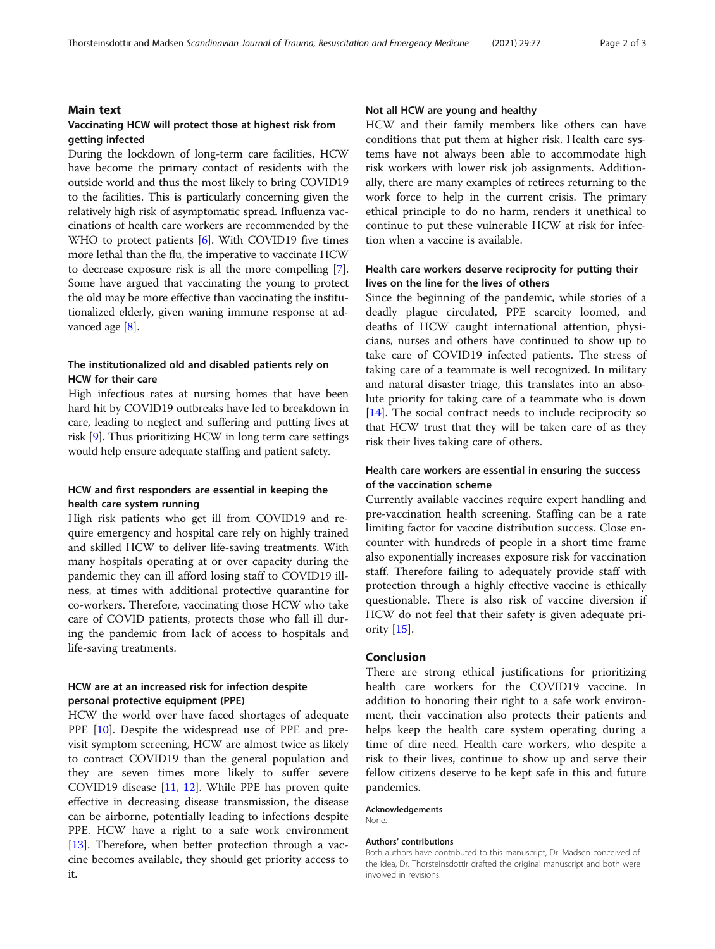## Main text

## Vaccinating HCW will protect those at highest risk from getting infected

During the lockdown of long-term care facilities, HCW have become the primary contact of residents with the outside world and thus the most likely to bring COVID19 to the facilities. This is particularly concerning given the relatively high risk of asymptomatic spread. Influenza vaccinations of health care workers are recommended by the WHO to protect patients [\[6\]](#page-2-0). With COVID19 five times more lethal than the flu, the imperative to vaccinate HCW to decrease exposure risk is all the more compelling [[7](#page-2-0)]. Some have argued that vaccinating the young to protect the old may be more effective than vaccinating the institutionalized elderly, given waning immune response at ad-vanced age [\[8\]](#page-2-0).

## The institutionalized old and disabled patients rely on HCW for their care

High infectious rates at nursing homes that have been hard hit by COVID19 outbreaks have led to breakdown in care, leading to neglect and suffering and putting lives at risk [\[9](#page-2-0)]. Thus prioritizing HCW in long term care settings would help ensure adequate staffing and patient safety.

## HCW and first responders are essential in keeping the health care system running

High risk patients who get ill from COVID19 and require emergency and hospital care rely on highly trained and skilled HCW to deliver life-saving treatments. With many hospitals operating at or over capacity during the pandemic they can ill afford losing staff to COVID19 illness, at times with additional protective quarantine for co-workers. Therefore, vaccinating those HCW who take care of COVID patients, protects those who fall ill during the pandemic from lack of access to hospitals and life-saving treatments.

## HCW are at an increased risk for infection despite personal protective equipment (PPE)

HCW the world over have faced shortages of adequate PPE [[10\]](#page-2-0). Despite the widespread use of PPE and previsit symptom screening, HCW are almost twice as likely to contract COVID19 than the general population and they are seven times more likely to suffer severe COVID19 disease [\[11](#page-2-0), [12\]](#page-2-0). While PPE has proven quite effective in decreasing disease transmission, the disease can be airborne, potentially leading to infections despite PPE. HCW have a right to a safe work environment [[13\]](#page-2-0). Therefore, when better protection through a vaccine becomes available, they should get priority access to it.

## Not all HCW are young and healthy

HCW and their family members like others can have conditions that put them at higher risk. Health care systems have not always been able to accommodate high risk workers with lower risk job assignments. Additionally, there are many examples of retirees returning to the work force to help in the current crisis. The primary ethical principle to do no harm, renders it unethical to continue to put these vulnerable HCW at risk for infection when a vaccine is available.

## Health care workers deserve reciprocity for putting their lives on the line for the lives of others

Since the beginning of the pandemic, while stories of a deadly plague circulated, PPE scarcity loomed, and deaths of HCW caught international attention, physicians, nurses and others have continued to show up to take care of COVID19 infected patients. The stress of taking care of a teammate is well recognized. In military and natural disaster triage, this translates into an absolute priority for taking care of a teammate who is down [[14\]](#page-2-0). The social contract needs to include reciprocity so that HCW trust that they will be taken care of as they risk their lives taking care of others.

## Health care workers are essential in ensuring the success of the vaccination scheme

Currently available vaccines require expert handling and pre-vaccination health screening. Staffing can be a rate limiting factor for vaccine distribution success. Close encounter with hundreds of people in a short time frame also exponentially increases exposure risk for vaccination staff. Therefore failing to adequately provide staff with protection through a highly effective vaccine is ethically questionable. There is also risk of vaccine diversion if HCW do not feel that their safety is given adequate priority [[15\]](#page-2-0).

## Conclusion

There are strong ethical justifications for prioritizing health care workers for the COVID19 vaccine. In addition to honoring their right to a safe work environment, their vaccination also protects their patients and helps keep the health care system operating during a time of dire need. Health care workers, who despite a risk to their lives, continue to show up and serve their fellow citizens deserve to be kept safe in this and future pandemics.

#### Acknowledgements

None.

#### Authors' contributions

Both authors have contributed to this manuscript, Dr. Madsen conceived of the idea, Dr. Thorsteinsdottir drafted the original manuscript and both were involved in revisions.